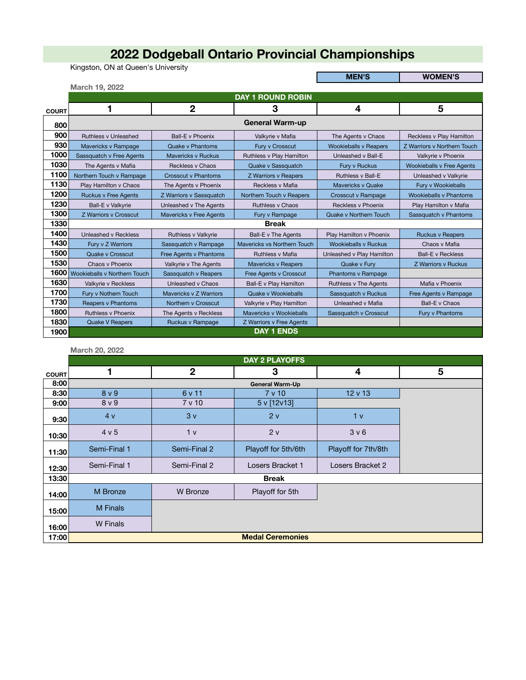## **2022 Dodgeball Ontario Provincial Championships**

Kingston, ON at Queen's University

**MEN'S WOMEN'S**

|              | March 19, 2022                    |                                |                             |                              |                                  |
|--------------|-----------------------------------|--------------------------------|-----------------------------|------------------------------|----------------------------------|
|              |                                   |                                | <b>DAY 1 ROUND ROBIN</b>    |                              |                                  |
| <b>COURT</b> |                                   | $\overline{2}$                 | 3                           | 4                            | 5                                |
| 800          |                                   |                                | <b>General Warm-up</b>      |                              |                                  |
| 900          | <b>Ruthless v Unleashed</b>       | <b>Ball-E</b> v Phoenix        | Valkyrie v Mafia            | The Agents v Chaos           | Reckless v Play Hamilton         |
| 930          | Mavericks v Rampage               | <b>Quake v Phantoms</b>        | Fury v Crosscut             | <b>Wookieballs v Reapers</b> | Z Warriors v Northern Touch      |
| 1000         | Sassquatch v Free Agents          | <b>Mavericks v Ruckus</b>      | Ruthless v Play Hamilton    | Unleashed v Ball-E           | Valkyrie v Phoenix               |
| 1030         | The Agents v Mafia                | <b>Reckless v Chaos</b>        | Quake v Sassquatch          | Fury v Ruckus                | <b>Wookieballs v Free Agents</b> |
| 1100         | Northern Touch v Rampage          | <b>Crosscut v Phantoms</b>     | Z Warriors v Reapers        | <b>Ruthless v Ball-E</b>     | Unleashed v Valkyrie             |
| 1130         | Play Hamilton v Chaos             | The Agents v Phoenix           | Reckless v Mafia            | <b>Mavericks v Quake</b>     | Fury v Wookieballs               |
| 1200         | <b>Ruckus v Free Agents</b>       | Z Warriors v Sassquatch        | Northern Touch v Reapers    | Crosscut v Rampage           | <b>Wookieballs v Phantoms</b>    |
| 1230         | Ball-E v Valkyrie                 | Unleashed v The Agents         | <b>Ruthless v Chaos</b>     | Reckless v Phoenix           | Play Hamilton v Mafia            |
| 1300         | Z Warriors v Crosscut             | <b>Mavericks v Free Agents</b> | Fury v Rampage              | Quake v Northern Touch       | Sassquatch v Phantoms            |
| 1330         |                                   |                                | <b>Break</b>                |                              |                                  |
| 1400         | Unleashed v Reckless              | Ruthless v Valkyrie            | Ball-E v The Agents         | Play Hamilton v Phoenix      | <b>Ruckus v Reapers</b>          |
| 1430         | Fury v Z Warriors                 | Sassquatch v Rampage           | Mavericks vs Northern Touch | <b>Wookieballs v Ruckus</b>  | Chaos v Mafia                    |
| 1500         | Quake v Crosscut                  | Free Agents v Phantoms         | <b>Ruthless v Mafia</b>     | Unleashed v Play Hamilton    | <b>Ball-E</b> v Reckless         |
| 1530         | Chaos v Phoenix                   | Valkyrie v The Agents          | <b>Mavericks v Reapers</b>  | Quake v Fury                 | <b>Z Warriors v Ruckus</b>       |
|              | 1600 Wookieballs v Northern Touch | Sassquatch v Reapers           | Free Agents v Crosscut      | Phantoms v Rampage           |                                  |
| 1630         | Valkyrie v Reckless               | Unleashed v Chaos              | Ball-E v Play Hamilton      | Ruthless v The Agents        | Mafia v Phoenix                  |
| 1700         | Fury v Nothern Touch              | Mavericks v Z Warriors         | Quake v Wookieballs         | Sassquatch v Ruckus          | Free Agents v Rampage            |
| 1730         | Reapers v Phantoms                | Northern v Crosscut            | Valkyrie v Play Hamilton    | Unleashed v Mafia            | <b>Ball-E</b> v Chaos            |
| 1800         | <b>Ruthless v Phoenix</b>         | The Agents v Reckless          | Mavericks v Wookieballs     | Sassquatch v Crosscut        | Fury v Phantoms                  |
| 1830         | <b>Quake V Reapers</b>            | Ruckus v Rampage               | Z Warriors v Free Agents    |                              |                                  |
| 1900         |                                   |                                | <b>DAY 1 ENDS</b>           |                              |                                  |

**March 20, 2022**

|              |                  |                 | <b>DAY 2 PLAYOFFS</b>   |                     |   |
|--------------|------------------|-----------------|-------------------------|---------------------|---|
| <b>COURT</b> | 1                | $\mathbf{2}$    | 3                       | 4                   | 5 |
| 8:00         |                  |                 | <b>General Warm-Up</b>  |                     |   |
| 8:30         | 8 <sub>v</sub> 9 | 6 v 11          | 7 v 10                  | $12 \vee 13$        |   |
| 9:00         | 8 <sub>v</sub> 9 | 7 v 10          | 5 v [12v13]             |                     |   |
| 9:30         | 4v               | 3v              | 2v                      | 1 <sub>v</sub>      |   |
| 10:30        | 4 v 5            | 1 <sub>v</sub>  | 2v                      | 3 <sub>v</sub> 6    |   |
| 11:30        | Semi-Final 1     | Semi-Final 2    | Playoff for 5th/6th     | Playoff for 7th/8th |   |
| 12:30        | Semi-Final 1     | Semi-Final 2    | Losers Bracket 1        | Losers Bracket 2    |   |
| 13:30        |                  |                 | <b>Break</b>            |                     |   |
| 14:00        | M Bronze         | <b>W</b> Bronze | Playoff for 5th         |                     |   |
| 15:00        | M Finals         |                 |                         |                     |   |
| 16:00        | <b>W</b> Finals  |                 |                         |                     |   |
| 17:00        |                  |                 | <b>Medal Ceremonies</b> |                     |   |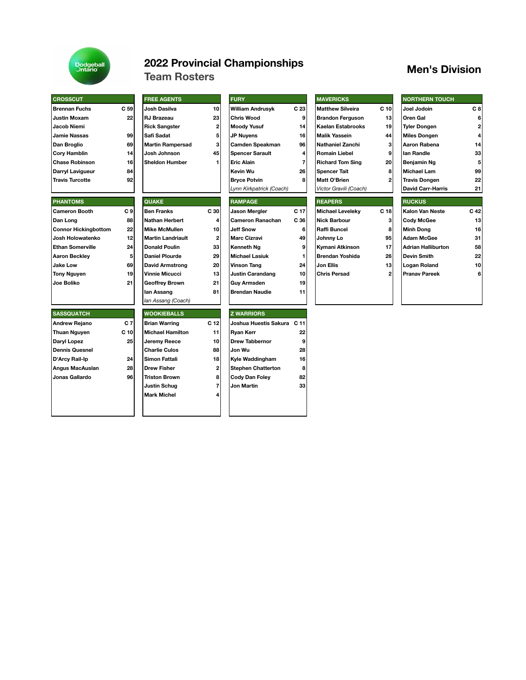

## **2022 Provincial Championships Men's Division Team Rosters**

| <b>CROSSCUT</b>             |      | <b>FREE AGENTS</b>       |                 | <b>FURY</b>                |                         | <b>MAVERICKS</b>        |                 | <b>NORTHERN TOUCH</b>     |              |
|-----------------------------|------|--------------------------|-----------------|----------------------------|-------------------------|-------------------------|-----------------|---------------------------|--------------|
| <b>Brennan Fuchs</b>        | C 59 | Josh Dasilva             | 10              | <b>William Andrusyk</b>    | C 23                    | <b>Matthew Silveira</b> | C <sub>10</sub> | Joel Jodoin               | C8           |
| <b>Justin Moxam</b>         | 22   | <b>RJ Brazeau</b>        | 23              | <b>Chris Wood</b>          | 9                       | <b>Brandon Ferguson</b> | 13              | <b>Oren Gal</b>           | 6            |
| Jacob Niemi                 |      | <b>Rick Sangster</b>     | 2               | <b>Moody Yusuf</b>         | 14                      | Kaelan Estabrooks       | 19              | <b>Tyler Dongen</b>       | $\mathbf{2}$ |
| <b>Jamie Nassas</b>         | 99   | Safi Sadat               | 5               | <b>JP Nuyens</b>           | 16                      | <b>Malik Yassein</b>    | 44              | <b>Miles Dongen</b>       | 4            |
| Dan Broglio                 | 69   | <b>Martin Rampersad</b>  | 3               | Camden Speakman            | 96                      | Nathaniel Zanchi        | 3               | Aaron Rabena              | 14           |
| <b>Cory Hamblin</b>         | 14   | Josh Johnson             | 45              | <b>Spencer Sarault</b>     | 4                       | Romain Liebel           | 9               | lan Randle                | 33           |
| <b>Chase Robinson</b>       | 16   | <b>Sheldon Humber</b>    | 1               | <b>Eric Alain</b>          | $\overline{\mathbf{r}}$ | <b>Richard Tom Sing</b> | 20              | Benjamin Ng               | 5            |
| Darryl Lavigueur            | 84   |                          |                 | <b>Kevin Wu</b>            | 26                      | <b>Spencer Tait</b>     | 8               | Michael Lam               | 99           |
| <b>Travis Turcotte</b>      | 92   |                          |                 | <b>Brvce Potvin</b>        | 8                       | <b>Matt O'Brien</b>     | $\mathbf{2}$    | <b>Travis Dongen</b>      | 22           |
|                             |      |                          |                 | Lynn Kirkpatrick (Coach)   |                         | Victor Gravili (Coach)  |                 | <b>David Carr-Harris</b>  | 21           |
| <b>PHANTOMS</b>             |      | <b>QUAKE</b>             |                 | <b>RAMPAGE</b>             |                         | <b>REAPERS</b>          |                 | <b>RUCKUS</b>             |              |
| <b>Cameron Booth</b>        | C9   | <b>Ben Franks</b>        | C 30            | Jason Mergler              | C <sub>17</sub>         | <b>Michael Leveleky</b> | C <sub>18</sub> | Kalon Van Neste           | C 42         |
| Dan Long                    | 88   | <b>Nathan Herbert</b>    | 4               | <b>Cameron Ranachan</b>    | C 36                    | Nick Barbour            | 3               | <b>Cody McGee</b>         | 13           |
| <b>Connor Hickingbottom</b> | 22   | <b>Mike McMullen</b>     | 10              | <b>Jeff Snow</b>           | 6                       | <b>Raffi Buncel</b>     | 8               | <b>Minh Dong</b>          | 16           |
| Josh Holowatenko            | 12   | <b>Martin Landriault</b> | $\overline{c}$  | <b>Marc Cizravi</b>        | 49                      | Johnny Lo               | 95              | <b>Adam McGee</b>         | 31           |
| <b>Ethan Somerville</b>     | 24   | <b>Donald Poulin</b>     | 33              | Kenneth Ng                 | 9                       | Kymani Atkinson         | 17              | <b>Adrian Halliburton</b> | 58           |
| <b>Aaron Beckley</b>        | 5    | <b>Daniel Plourde</b>    | 29              | <b>Michael Lasiuk</b>      | 1                       | <b>Brendan Yoshida</b>  | 26              | <b>Devin Smith</b>        | 22           |
| <b>Jake Low</b>             | 69   | <b>David Armstrong</b>   | 20              | <b>Vinson Tang</b>         | 24                      | Jon Ellis               | 13              | Logan Roland              | 10           |
| <b>Tony Nguyen</b>          | 19   | <b>Vinnie Micucci</b>    | 13              | <b>Justin Carandang</b>    | 10                      | Chris Persad            | $\mathbf{2}$    | <b>Pranav Pareek</b>      | 6            |
| Joe Boliko                  | 21   | <b>Geoffrey Brown</b>    | 21              | <b>Guv Armsden</b>         | 19                      |                         |                 |                           |              |
|                             |      | lan Assang               | 81              | <b>Brendan Naudie</b>      | 11                      |                         |                 |                           |              |
|                             |      | lan Assang (Coach)       |                 |                            |                         |                         |                 |                           |              |
| <b>SASSQUATCH</b>           |      | <b>WOOKIEBALLS</b>       |                 | <b>Z WARRIORS</b>          |                         |                         |                 |                           |              |
| <b>Andrew Rejano</b>        | C 7  | <b>Brian Warring</b>     | C <sub>12</sub> | Joshua Huestis Sakura C 11 |                         |                         |                 |                           |              |
| <b>Thuan Nguyen</b>         | C 10 | <b>Michael Hamilton</b>  | 11              | <b>Ryan Kerr</b>           | 22                      |                         |                 |                           |              |
| Daryl Lopez                 | 25   | Jeremy Reece             | 10              | <b>Drew Tabbernor</b>      | 9                       |                         |                 |                           |              |
| <b>Dennis Quesnel</b>       |      | <b>Charlie Culos</b>     | 88              | Jon Wu                     | 28                      |                         |                 |                           |              |
| D'Arcy Rail-Ip              | 24   | <b>Simon Fattali</b>     | 18              | Kyle Waddingham            | 16                      |                         |                 |                           |              |
| Angus MacAuslan             | 28   | <b>Drew Fisher</b>       | 2               | <b>Stephen Chatterton</b>  | 8                       |                         |                 |                           |              |
| Jonas Gallardo              | 96   | <b>Triston Brown</b>     | 8               | Cody Dan Foley             | 82                      |                         |                 |                           |              |
|                             |      | <b>Justin Schug</b>      | 7               | Jon Martin                 | 33                      |                         |                 |                           |              |
|                             |      | <b>Mark Michel</b>       | 4               |                            |                         |                         |                 |                           |              |
|                             |      |                          |                 |                            |                         |                         |                 |                           |              |
|                             |      |                          |                 |                            |                         |                         |                 |                           |              |

| <b>FURY</b>                |                 | <b>MAVERICKS</b>        |              | <b>NORTHERN TOUCH</b>     |                |
|----------------------------|-----------------|-------------------------|--------------|---------------------------|----------------|
| <b>William Andrusyk</b>    | C <sub>23</sub> | <b>Matthew Silveira</b> | $C$ 10       | Joel Jodoin               | C <sub>8</sub> |
| <b>Chris Wood</b>          | 9               | <b>Brandon Ferguson</b> | 13           | Oren Gal                  | 6              |
| <b>Moody Yusuf</b>         | 14              | Kaelan Estabrooks       | 19           | <b>Tyler Dongen</b>       | 2              |
| <b>JP Nuyens</b>           | 16              | <b>Malik Yassein</b>    | 44           | <b>Miles Dongen</b>       | 4              |
| Camden Speakman            | 96              | <b>Nathaniel Zanchi</b> | 3            | Aaron Rabena              | 14             |
| <b>Spencer Sarault</b>     | 4               | <b>Romain Liebel</b>    | 9            | lan Randle                | 33             |
| <b>Eric Alain</b>          | 7               | <b>Richard Tom Sing</b> | 20           | Benjamin Ng               | 5              |
| Kevin Wu                   | 26              | <b>Spencer Tait</b>     | 8            | <b>Michael Lam</b>        | 99             |
| <b>Bryce Potvin</b>        | 8               | Matt O'Brien            | 2            | <b>Travis Dongen</b>      | 22             |
| Lynn Kirkpatrick (Coach)   |                 | Victor Gravili (Coach)  |              | <b>David Carr-Harris</b>  | 21             |
| <b>RAMPAGE</b>             |                 | <b>REAPERS</b>          |              | <b>RUCKUS</b>             |                |
| Jason Mergler              | C 17            | <b>Michael Leveleky</b> | C 18         | <b>Kalon Van Neste</b>    | $C$ 42         |
| <b>Cameron Ranachan</b>    | C 36            | <b>Nick Barbour</b>     | 3            | <b>Cody McGee</b>         | 13             |
| <b>Jeff Snow</b>           | 6               | Raffi Buncel            | 8            | <b>Minh Dong</b>          | 16             |
| <b>Marc Cizravi</b>        | 49              | Johnny Lo               | 95           | <b>Adam McGee</b>         | 31             |
| Kenneth Ng                 | 9               | Kymani Atkinson         | 17           | <b>Adrian Halliburton</b> | 58             |
| <b>Michael Lasiuk</b>      | 1               | <b>Brendan Yoshida</b>  | 26           | <b>Devin Smith</b>        | 22             |
| <b>Vinson Tang</b>         | 24              | Jon Ellis               | 13           | Logan Roland              | 10             |
| <b>Justin Carandang</b>    | 10              | <b>Chris Persad</b>     | $\mathbf{2}$ | <b>Pranav Pareek</b>      | 6              |
| <b>Guv Armsden</b>         | 19              |                         |              |                           |                |
| <b>Brendan Naudie</b>      | 11              |                         |              |                           |                |
|                            |                 |                         |              |                           |                |
| <b>Z WARRIORS</b>          |                 |                         |              |                           |                |
| Joshua Huestis Sakura C 11 |                 |                         |              |                           |                |
| <b>Rvan Kerr</b>           | 22              |                         |              |                           |                |
| Drew Tabbernor             | 9               |                         |              |                           |                |

| <b>MAVERICKS</b>        |  |
|-------------------------|--|
| <b>Matthew Silveira</b> |  |
| <b>Brandon Ferguson</b> |  |
| Kaelan Estabrooks       |  |
| <b>Malik Yassein</b>    |  |
| Nathaniel Zanchi        |  |
| <b>Romain Liebel</b>    |  |
| <b>Richard Tom Sing</b> |  |
| <b>Spencer Tait</b>     |  |
| Matt O'Brien            |  |
| Victor Gravili (Coach)  |  |
| <b>REAPERS</b>          |  |
|                         |  |

| Michael Leveleky | C 18 |
|------------------|------|
| Nick Barbour     | 3    |
| Raffi Buncel     | 8    |
| Johnny Lo        | 95   |
| Kymani Atkinson  | 17   |
| Brendan Yoshida  | 26   |
| Jon Ellis        | 13   |
| Chris Persad     | 2    |
|                  |      |
|                  |      |

| <b>NORTHERN TOUCH</b> |    |
|-----------------------|----|
| Joel Jodoin           | CВ |
| Oren Gal              | 6  |
| <b>Tyler Dongen</b>   | 2  |
| <b>Miles Dongen</b>   | 4  |
| Aaron Rabena          | 14 |
| lan Randle            | 33 |
| Benjamin Ng           | 5  |
| Michael Lam           | 99 |
| Travis Dongen         | 22 |
| David Carr-Harris     | 21 |
|                       |    |

| <b>RUCKUS</b>             |      |
|---------------------------|------|
| Kalon Van Neste           | C 42 |
| <b>Cody McGee</b>         | 13   |
| <b>Minh Dong</b>          | 16   |
| <b>Adam McGee</b>         | 31   |
| <b>Adrian Halliburton</b> | 58   |
| <b>Devin Smith</b>        | 22   |
| Logan Roland              | 10   |
| <b>Pranav Pareek</b>      | 6    |
|                           |      |
|                           |      |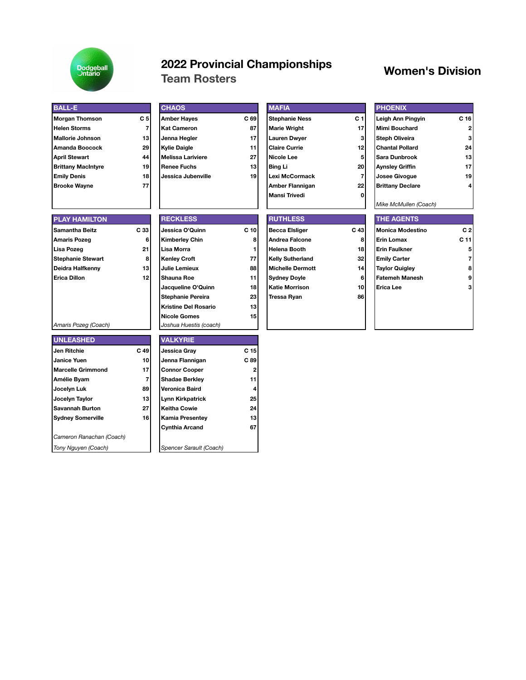

# **2022 Provincial Championships Women's Division Team Rosters**

| <b>BALL-E</b>             |                | <b>CHAOS</b>                |                 | <b>MAFIA</b>            |                         | <b>PHOENIX</b>          |                 |
|---------------------------|----------------|-----------------------------|-----------------|-------------------------|-------------------------|-------------------------|-----------------|
| Morgan Thomson            | C <sub>5</sub> | <b>Amber Hayes</b>          | C 69            | <b>Stephanie Ness</b>   | C <sub>1</sub>          | Leigh Ann Pingyin       | C <sub>16</sub> |
| <b>Helen Storms</b>       | $\overline{7}$ | <b>Kat Cameron</b>          | 87              | <b>Marie Wright</b>     | 17                      | <b>Mimi Bouchard</b>    | 2               |
| <b>Mallorie Johnson</b>   | 13             | Jenna Hegler                | 17              | <b>Lauren Dwyer</b>     | 3                       | <b>Steph Oliveira</b>   | 3               |
| Amanda Boocock            | 29             | <b>Kylie Daigle</b>         | 11              | <b>Claire Currie</b>    | 12                      | <b>Chantal Pollard</b>  | 24              |
| April Stewart             | 44             | <b>Melissa Lariviere</b>    | 27              | <b>Nicole Lee</b>       | 5                       | Sara Dunbrook           | 13              |
| <b>Brittany MacIntyre</b> | 19             | <b>Renee Fuchs</b>          | 13              | <b>Bing Li</b>          | 20                      | <b>Aynsley Griffin</b>  | 17              |
| <b>Emily Denis</b>        | 18             | Jessica Jubenville          | 19              | <b>Lexi McCormack</b>   | $\overline{\mathbf{r}}$ | <b>Josee Givogue</b>    | 19              |
| <b>Brooke Wayne</b>       | 77             |                             |                 | Amber Flannigan         | 22                      | <b>Brittany Declare</b> |                 |
|                           |                |                             |                 | <b>Mansi Trivedi</b>    | 0                       |                         |                 |
|                           |                |                             |                 |                         |                         | Mike McMullen (Coach)   |                 |
| <b>PLAY HAMILTON</b>      |                | <b>RECKLESS</b>             |                 | <b>RUTHLESS</b>         |                         | <b>THE AGENTS</b>       |                 |
| Samantha Beitz            | C 33           | Jessica O'Quinn             | C <sub>10</sub> | <b>Becca Elsliger</b>   | C 43                    | <b>Monica Modestino</b> | C <sub>2</sub>  |
| Amaris Pozeg              | 6              | <b>Kimberley Chin</b>       | 8               | <b>Andrea Falcone</b>   | 8                       | <b>Erin Lomax</b>       | C <sub>11</sub> |
| Lisa Pozeg                | 21             | Lisa Morra                  | 1               | <b>Helena Booth</b>     | 18                      | <b>Erin Faulkner</b>    | 5               |
| Stephanie Stewart         | 8              | <b>Kenley Croft</b>         | 77              | <b>Kelly Sutherland</b> | 32                      | <b>Emily Carter</b>     | 7               |
| Deidra Halfkenny          | 13             | Julie Lemieux               | 88              | <b>Michelle Dermott</b> | 14                      | <b>Taylor Quigley</b>   | 8               |
| Erica Dillon              | 12             | <b>Shauna Roe</b>           | 11              | <b>Sydney Doyle</b>     | 6                       | <b>Fatemeh Manesh</b>   | 9               |
|                           |                | Jacqueline O'Quinn          | 18              | <b>Katie Morrison</b>   | 10                      | Erica Lee               | 3               |
|                           |                | <b>Stephanie Pereira</b>    | 23              | <b>Tressa Ryan</b>      | 86                      |                         |                 |
|                           |                | <b>Kristine Del Rosario</b> | 13              |                         |                         |                         |                 |
|                           |                | <b>Nicole Gomes</b>         | 15              |                         |                         |                         |                 |
| Amaris Pozeg (Coach)      |                | Joshua Huestis (coach)      |                 |                         |                         |                         |                 |
| <b>UNLEASHED</b>          |                | <b>VALKYRIE</b>             |                 |                         |                         |                         |                 |
| Jen Ritchie               | C 49           | Jessica Gray                | C <sub>15</sub> |                         |                         |                         |                 |
| <b>Janice Yuen</b>        | 10             | Jenna Flannigan             | C 89            |                         |                         |                         |                 |
| <b>Marcelle Grimmond</b>  | 17             | <b>Connor Cooper</b>        | 2               |                         |                         |                         |                 |
| Amélie Byam               | $\overline{7}$ | <b>Shadae Berkley</b>       | 11              |                         |                         |                         |                 |
| Jocelyn Luk               | 89             | Veronica Baird              | 4               |                         |                         |                         |                 |
| Jocelyn Taylor            | 13             | <b>Lynn Kirkpatrick</b>     | 25              |                         |                         |                         |                 |
| Savannah Burton           | 27             | <b>Keitha Cowie</b>         | 24              |                         |                         |                         |                 |
| <b>Sydney Somerville</b>  | 16             | <b>Kamia Presentey</b>      | 13              |                         |                         |                         |                 |
|                           |                | <b>Cynthia Arcand</b>       | 67              |                         |                         |                         |                 |
| Cameron Ranachan (Coach)  |                |                             |                 |                         |                         |                         |                 |
| Tony Nguyen (Coach)       |                | Spencer Sarault (Coach)     |                 |                         |                         |                         |                 |